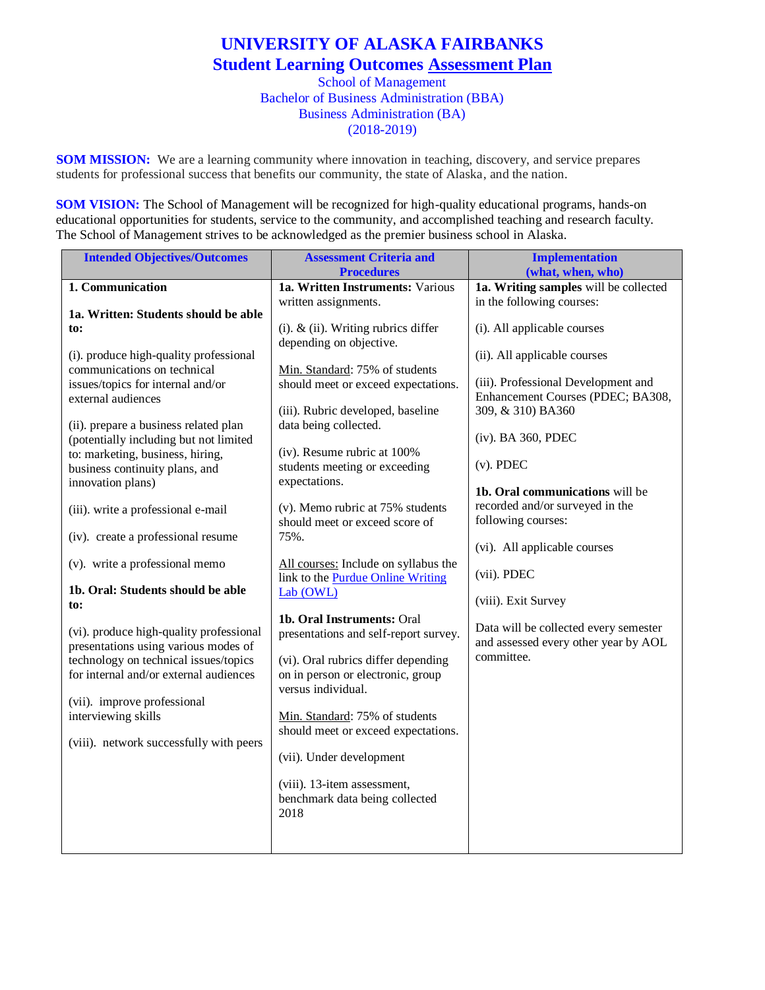## **UNIVERSITY OF ALASKA FAIRBANKS Student Learning Outcomes Assessment Plan**

School of Management Bachelor of Business Administration (BBA) Business Administration (BA) (2018-2019)

**SOM MISSION:** We are a learning community where innovation in teaching, discovery, and service prepares students for professional success that benefits our community, the state of Alaska, and the nation.

**SOM VISION:** The School of Management will be recognized for high-quality educational programs, hands-on educational opportunities for students, service to the community, and accomplished teaching and research faculty. The School of Management strives to be acknowledged as the premier business school in Alaska.

| <b>Intended Objectives/Outcomes</b>                                             | <b>Assessment Criteria and</b>            | <b>Implementation</b>                 |
|---------------------------------------------------------------------------------|-------------------------------------------|---------------------------------------|
|                                                                                 | <b>Procedures</b>                         | (what, when, who)                     |
| 1. Communication                                                                | 1a. Written Instruments: Various          | 1a. Writing samples will be collected |
|                                                                                 | written assignments.                      | in the following courses:             |
| 1a. Written: Students should be able                                            |                                           |                                       |
| to:                                                                             | $(i)$ . & $(ii)$ . Writing rubrics differ | (i). All applicable courses           |
|                                                                                 | depending on objective.                   |                                       |
| (i). produce high-quality professional<br>communications on technical           | Min. Standard: 75% of students            | (ii). All applicable courses          |
| issues/topics for internal and/or                                               | should meet or exceed expectations.       | (iii). Professional Development and   |
| external audiences                                                              |                                           | Enhancement Courses (PDEC; BA308,     |
|                                                                                 | (iii). Rubric developed, baseline         | 309, & 310) BA360                     |
| (ii). prepare a business related plan                                           | data being collected.                     |                                       |
| (potentially including but not limited                                          |                                           | (iv). BA 360, PDEC                    |
| to: marketing, business, hiring,                                                | (iv). Resume rubric at 100%               |                                       |
| business continuity plans, and                                                  | students meeting or exceeding             | $(v)$ . PDEC                          |
| innovation plans)                                                               | expectations.                             |                                       |
|                                                                                 |                                           | 1b. Oral communications will be       |
| (iii). write a professional e-mail                                              | (v). Memo rubric at 75% students          | recorded and/or surveyed in the       |
|                                                                                 | should meet or exceed score of            | following courses:                    |
| (iv). create a professional resume                                              | 75%.                                      |                                       |
|                                                                                 |                                           | (vi). All applicable courses          |
| (v). write a professional memo                                                  | All courses: Include on syllabus the      |                                       |
|                                                                                 | link to the <b>Purdue Online Writing</b>  | (vii). PDEC                           |
| 1b. Oral: Students should be able                                               | Lab (OWL)                                 | (viii). Exit Survey                   |
| to:                                                                             |                                           |                                       |
|                                                                                 | 1b. Oral Instruments: Oral                | Data will be collected every semester |
| (vi). produce high-quality professional<br>presentations using various modes of | presentations and self-report survey.     | and assessed every other year by AOL  |
| technology on technical issues/topics                                           | (vi). Oral rubrics differ depending       | committee.                            |
| for internal and/or external audiences                                          | on in person or electronic, group         |                                       |
|                                                                                 | versus individual.                        |                                       |
| (vii). improve professional                                                     |                                           |                                       |
| interviewing skills                                                             | Min. Standard: 75% of students            |                                       |
|                                                                                 | should meet or exceed expectations.       |                                       |
| (viii). network successfully with peers                                         |                                           |                                       |
|                                                                                 | (vii). Under development                  |                                       |
|                                                                                 |                                           |                                       |
|                                                                                 | (viii). 13-item assessment,               |                                       |
|                                                                                 | benchmark data being collected            |                                       |
|                                                                                 | 2018                                      |                                       |
|                                                                                 |                                           |                                       |
|                                                                                 |                                           |                                       |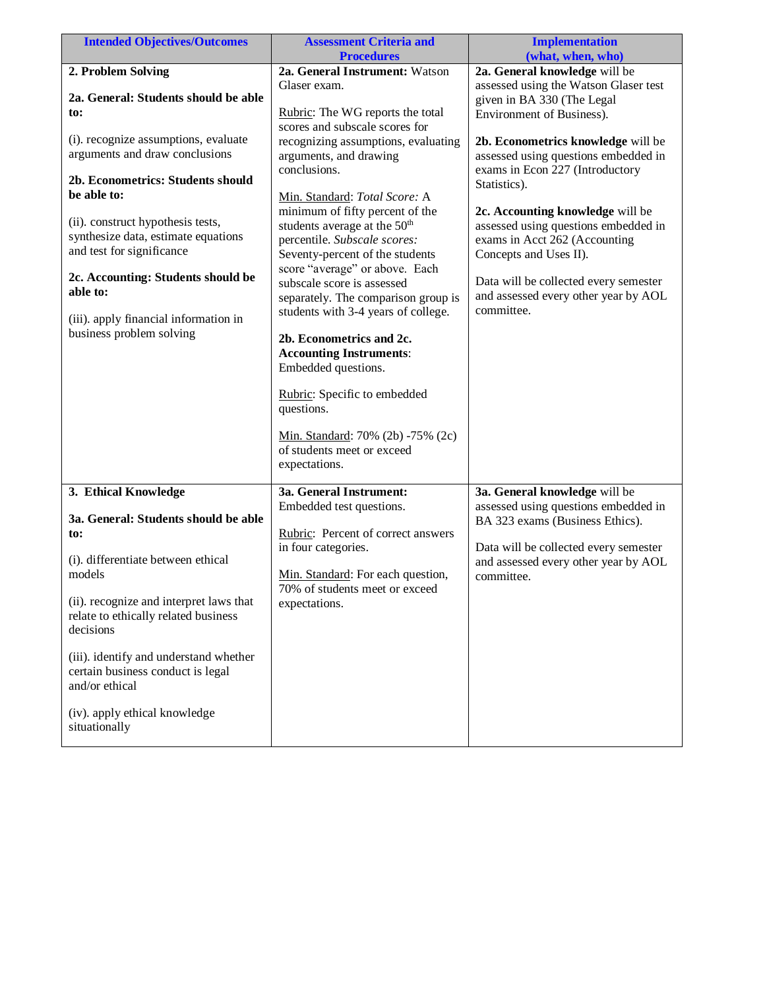| <b>Intended Objectives/Outcomes</b>                                                                                                                                                                                                                                                                                                                                                                                             | <b>Assessment Criteria and</b><br><b>Procedures</b>                                                                                                                                                                                                                                                                                                                                                                                                                                                                                                                                                                                                                                                                                          | <b>Implementation</b><br>(what, when, who)                                                                                                                                                                                                                                                                                                                                                                                                                                                               |
|---------------------------------------------------------------------------------------------------------------------------------------------------------------------------------------------------------------------------------------------------------------------------------------------------------------------------------------------------------------------------------------------------------------------------------|----------------------------------------------------------------------------------------------------------------------------------------------------------------------------------------------------------------------------------------------------------------------------------------------------------------------------------------------------------------------------------------------------------------------------------------------------------------------------------------------------------------------------------------------------------------------------------------------------------------------------------------------------------------------------------------------------------------------------------------------|----------------------------------------------------------------------------------------------------------------------------------------------------------------------------------------------------------------------------------------------------------------------------------------------------------------------------------------------------------------------------------------------------------------------------------------------------------------------------------------------------------|
| 2. Problem Solving<br>2a. General: Students should be able<br>to:<br>(i). recognize assumptions, evaluate<br>arguments and draw conclusions<br>2b. Econometrics: Students should<br>be able to:<br>(ii). construct hypothesis tests,<br>synthesize data, estimate equations<br>and test for significance<br>2c. Accounting: Students should be<br>able to:<br>(iii). apply financial information in<br>business problem solving | 2a. General Instrument: Watson<br>Glaser exam.<br>Rubric: The WG reports the total<br>scores and subscale scores for<br>recognizing assumptions, evaluating<br>arguments, and drawing<br>conclusions.<br>Min. Standard: Total Score: A<br>minimum of fifty percent of the<br>students average at the 50 <sup>th</sup><br>percentile. Subscale scores:<br>Seventy-percent of the students<br>score "average" or above. Each<br>subscale score is assessed<br>separately. The comparison group is<br>students with 3-4 years of college.<br>2b. Econometrics and 2c.<br><b>Accounting Instruments:</b><br>Embedded questions.<br>Rubric: Specific to embedded<br>questions.<br>Min. Standard: 70% (2b) -75% (2c)<br>of students meet or exceed | 2a. General knowledge will be<br>assessed using the Watson Glaser test<br>given in BA 330 (The Legal<br>Environment of Business).<br>2b. Econometrics knowledge will be<br>assessed using questions embedded in<br>exams in Econ 227 (Introductory<br>Statistics).<br>2c. Accounting knowledge will be<br>assessed using questions embedded in<br>exams in Acct 262 (Accounting<br>Concepts and Uses II).<br>Data will be collected every semester<br>and assessed every other year by AOL<br>committee. |
| 3. Ethical Knowledge<br>3a. General: Students should be able<br>to:<br>(i). differentiate between ethical<br>models<br>(ii). recognize and interpret laws that<br>relate to ethically related business<br>decisions<br>(iii). identify and understand whether<br>certain business conduct is legal<br>and/or ethical<br>(iv). apply ethical knowledge<br>situationally                                                          | expectations.<br>3a. General Instrument:<br>Embedded test questions.<br>Rubric: Percent of correct answers<br>in four categories.<br>Min. Standard: For each question,<br>70% of students meet or exceed<br>expectations.                                                                                                                                                                                                                                                                                                                                                                                                                                                                                                                    | 3a. General knowledge will be<br>assessed using questions embedded in<br>BA 323 exams (Business Ethics).<br>Data will be collected every semester<br>and assessed every other year by AOL<br>committee.                                                                                                                                                                                                                                                                                                  |